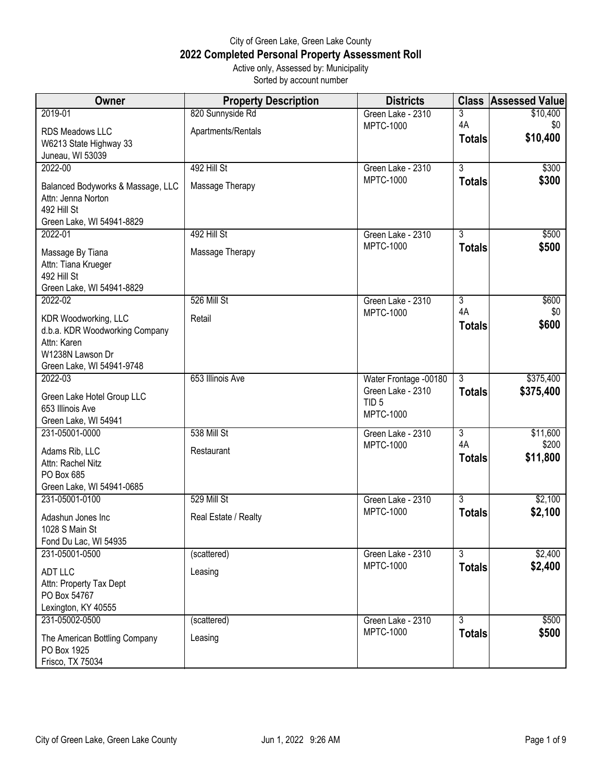## City of Green Lake, Green Lake County **2022 Completed Personal Property Assessment Roll** Active only, Assessed by: Municipality

Sorted by account number

| Owner                                                                                                                  | <b>Property Description</b> | <b>Districts</b>                                          | <b>Class</b>        | <b>Assessed Value</b> |
|------------------------------------------------------------------------------------------------------------------------|-----------------------------|-----------------------------------------------------------|---------------------|-----------------------|
| 2019-01                                                                                                                | 820 Sunnyside Rd            | Green Lake - 2310                                         | 3                   | \$10,400              |
| RDS Meadows LLC<br>W6213 State Highway 33<br>Juneau, WI 53039                                                          | Apartments/Rentals          | <b>MPTC-1000</b>                                          | 4A<br><b>Totals</b> | \$0<br>\$10,400       |
| 2022-00                                                                                                                | 492 Hill St                 | Green Lake - 2310                                         | $\overline{3}$      | \$300                 |
| Balanced Bodyworks & Massage, LLC<br>Attn: Jenna Norton<br>492 Hill St<br>Green Lake, WI 54941-8829                    | Massage Therapy             | <b>MPTC-1000</b>                                          | <b>Totals</b>       | \$300                 |
| 2022-01                                                                                                                | 492 Hill St                 | Green Lake - 2310                                         | 3                   | \$500                 |
| Massage By Tiana<br>Attn: Tiana Krueger<br>492 Hill St<br>Green Lake, WI 54941-8829                                    | Massage Therapy             | <b>MPTC-1000</b>                                          | <b>Totals</b>       | \$500                 |
| 2022-02                                                                                                                | 526 Mill St                 | Green Lake - 2310                                         | $\overline{3}$      | \$600                 |
| KDR Woodworking, LLC<br>d.b.a. KDR Woodworking Company<br>Attn: Karen<br>W1238N Lawson Dr<br>Green Lake, WI 54941-9748 | Retail                      | <b>MPTC-1000</b>                                          | 4A<br><b>Totals</b> | \$0<br>\$600          |
| 2022-03                                                                                                                | 653 Illinois Ave            | Water Frontage -00180                                     | $\overline{3}$      | \$375,400             |
| Green Lake Hotel Group LLC<br>653 Illinois Ave<br>Green Lake, WI 54941                                                 |                             | Green Lake - 2310<br>TID <sub>5</sub><br><b>MPTC-1000</b> | <b>Totals</b>       | \$375,400             |
| 231-05001-0000                                                                                                         | 538 Mill St                 | Green Lake - 2310                                         | 3                   | \$11,600              |
| Adams Rib, LLC<br>Attn: Rachel Nitz<br>PO Box 685<br>Green Lake, WI 54941-0685                                         | Restaurant                  | <b>MPTC-1000</b>                                          | 4A<br><b>Totals</b> | \$200<br>\$11,800     |
| 231-05001-0100                                                                                                         | 529 Mill St                 | Green Lake - 2310                                         | $\overline{3}$      | \$2,100               |
| Adashun Jones Inc<br>1028 S Main St<br>Fond Du Lac, WI 54935                                                           | Real Estate / Realty        | <b>MPTC-1000</b>                                          | <b>Totals</b>       | \$2,100               |
| 231-05001-0500                                                                                                         | (scattered)                 | Green Lake - 2310                                         | $\overline{3}$      | \$2,400               |
| <b>ADT LLC</b><br>Attn: Property Tax Dept<br>PO Box 54767<br>Lexington, KY 40555                                       | Leasing                     | <b>MPTC-1000</b>                                          | <b>Totals</b>       | \$2,400               |
| 231-05002-0500                                                                                                         | (scattered)                 | Green Lake - 2310                                         | $\overline{3}$      | \$500                 |
| The American Bottling Company<br>PO Box 1925<br>Frisco, TX 75034                                                       | Leasing                     | <b>MPTC-1000</b>                                          | <b>Totals</b>       | \$500                 |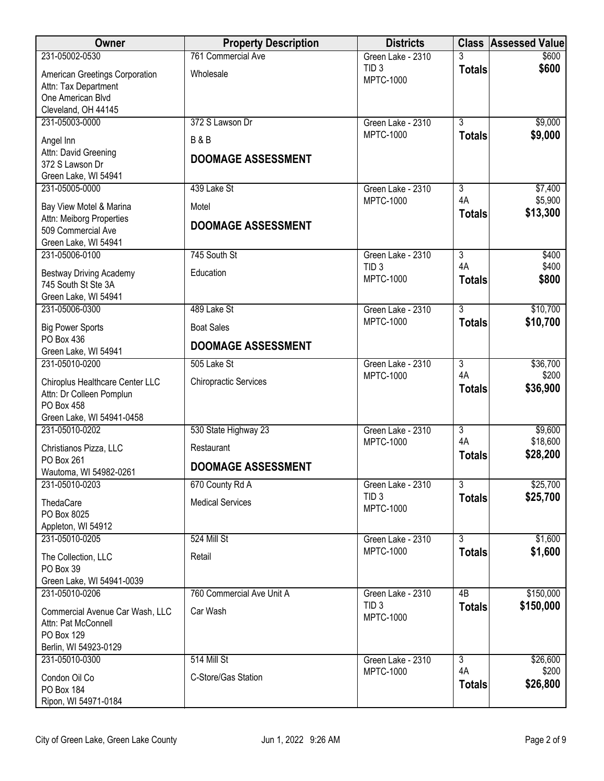| Owner                                               | <b>Property Description</b>  | <b>Districts</b>                     | <b>Class</b>        | <b>Assessed Value</b> |
|-----------------------------------------------------|------------------------------|--------------------------------------|---------------------|-----------------------|
| 231-05002-0530                                      | 761 Commercial Ave           | Green Lake - 2310                    |                     | \$600                 |
| American Greetings Corporation                      | Wholesale                    | TID <sub>3</sub><br><b>MPTC-1000</b> | <b>Totals</b>       | \$600                 |
| Attn: Tax Department<br>One American Blvd           |                              |                                      |                     |                       |
| Cleveland, OH 44145                                 |                              |                                      |                     |                       |
| 231-05003-0000                                      | 372 S Lawson Dr              | Green Lake - 2310                    | $\overline{3}$      | \$9,000               |
| Angel Inn                                           | <b>B&amp;B</b>               | <b>MPTC-1000</b>                     | <b>Totals</b>       | \$9,000               |
| Attn: David Greening                                | <b>DOOMAGE ASSESSMENT</b>    |                                      |                     |                       |
| 372 S Lawson Dr                                     |                              |                                      |                     |                       |
| Green Lake, WI 54941<br>231-05005-0000              | 439 Lake St                  | Green Lake - 2310                    | 3                   | \$7,400               |
|                                                     |                              | <b>MPTC-1000</b>                     | 4A                  | \$5,900               |
| Bay View Motel & Marina<br>Attn: Meiborg Properties | Motel                        |                                      | <b>Totals</b>       | \$13,300              |
| 509 Commercial Ave                                  | <b>DOOMAGE ASSESSMENT</b>    |                                      |                     |                       |
| Green Lake, WI 54941                                |                              |                                      |                     |                       |
| 231-05006-0100                                      | 745 South St                 | Green Lake - 2310                    | $\overline{3}$      | \$400                 |
| <b>Bestway Driving Academy</b>                      | Education                    | TID <sub>3</sub><br><b>MPTC-1000</b> | 4A<br><b>Totals</b> | \$400<br>\$800        |
| 745 South St Ste 3A                                 |                              |                                      |                     |                       |
| Green Lake, WI 54941<br>231-05006-0300              | 489 Lake St                  | Green Lake - 2310                    | $\overline{3}$      | \$10,700              |
|                                                     |                              | <b>MPTC-1000</b>                     | <b>Totals</b>       | \$10,700              |
| <b>Big Power Sports</b><br>PO Box 436               | <b>Boat Sales</b>            |                                      |                     |                       |
| Green Lake, WI 54941                                | <b>DOOMAGE ASSESSMENT</b>    |                                      |                     |                       |
| 231-05010-0200                                      | 505 Lake St                  | Green Lake - 2310                    | $\overline{3}$      | \$36,700              |
| Chiroplus Healthcare Center LLC                     | <b>Chiropractic Services</b> | <b>MPTC-1000</b>                     | 4A                  | \$200                 |
| Attn: Dr Colleen Pomplun                            |                              |                                      | <b>Totals</b>       | \$36,900              |
| PO Box 458                                          |                              |                                      |                     |                       |
| Green Lake, WI 54941-0458<br>231-05010-0202         | 530 State Highway 23         | Green Lake - 2310                    | $\overline{3}$      | \$9,600               |
| Christianos Pizza, LLC                              | Restaurant                   | <b>MPTC-1000</b>                     | 4A                  | \$18,600              |
| PO Box 261                                          |                              |                                      | <b>Totals</b>       | \$28,200              |
| Wautoma, WI 54982-0261                              | <b>DOOMAGE ASSESSMENT</b>    |                                      |                     |                       |
| 231-05010-0203                                      | 670 County Rd A              | Green Lake - 2310                    | $\overline{3}$      | \$25,700              |
| ThedaCare                                           | <b>Medical Services</b>      | TID <sub>3</sub><br><b>MPTC-1000</b> | <b>Totals</b>       | \$25,700              |
| PO Box 8025                                         |                              |                                      |                     |                       |
| Appleton, WI 54912<br>231-05010-0205                | 524 Mill St                  | Green Lake - 2310                    | $\overline{3}$      | \$1,600               |
|                                                     |                              | <b>MPTC-1000</b>                     | <b>Totals</b>       | \$1,600               |
| The Collection, LLC<br>PO Box 39                    | Retail                       |                                      |                     |                       |
| Green Lake, WI 54941-0039                           |                              |                                      |                     |                       |
| 231-05010-0206                                      | 760 Commercial Ave Unit A    | Green Lake - 2310                    | 4B                  | \$150,000             |
| Commercial Avenue Car Wash, LLC                     | Car Wash                     | TID <sub>3</sub>                     | <b>Totals</b>       | \$150,000             |
| Attn: Pat McConnell                                 |                              | <b>MPTC-1000</b>                     |                     |                       |
| PO Box 129                                          |                              |                                      |                     |                       |
| Berlin, WI 54923-0129<br>231-05010-0300             | 514 Mill St                  | Green Lake - 2310                    | $\overline{3}$      | \$26,600              |
|                                                     | C-Store/Gas Station          | <b>MPTC-1000</b>                     | 4A                  | \$200                 |
| Condon Oil Co<br>PO Box 184                         |                              |                                      | <b>Totals</b>       | \$26,800              |
| Ripon, WI 54971-0184                                |                              |                                      |                     |                       |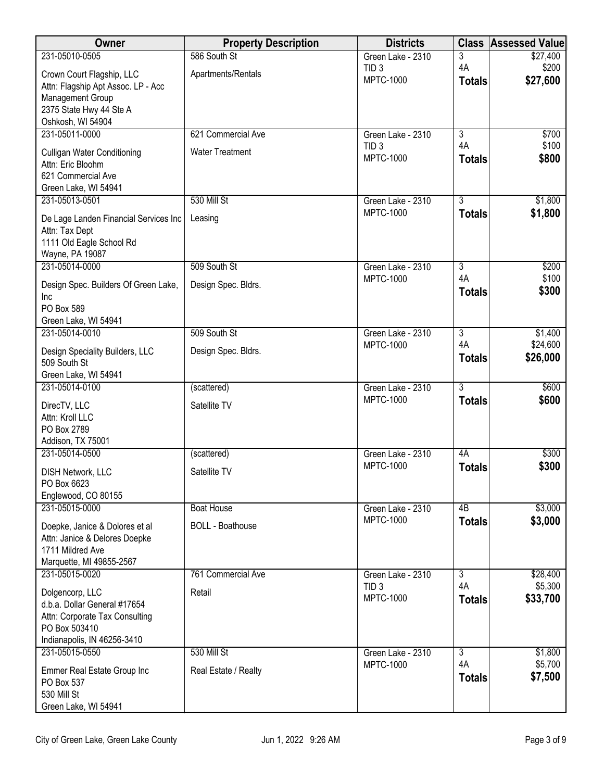| Owner                                           | <b>Property Description</b> | <b>Districts</b>                      | <b>Class</b>         | <b>Assessed Value</b> |
|-------------------------------------------------|-----------------------------|---------------------------------------|----------------------|-----------------------|
| 231-05010-0505                                  | 586 South St                | Green Lake - 2310                     | 3                    | \$27,400              |
| Crown Court Flagship, LLC                       | Apartments/Rentals          | TID <sub>3</sub><br><b>MPTC-1000</b>  | 4A                   | \$200<br>\$27,600     |
| Attn: Flagship Apt Assoc. LP - Acc              |                             |                                       | <b>Totals</b>        |                       |
| Management Group                                |                             |                                       |                      |                       |
| 2375 State Hwy 44 Ste A<br>Oshkosh, WI 54904    |                             |                                       |                      |                       |
| 231-05011-0000                                  | 621 Commercial Ave          | Green Lake - 2310                     | $\overline{3}$       | \$700                 |
| <b>Culligan Water Conditioning</b>              | <b>Water Treatment</b>      | TID <sub>3</sub>                      | 4A                   | \$100                 |
| Attn: Eric Bloohm                               |                             | <b>MPTC-1000</b>                      | <b>Totals</b>        | \$800                 |
| 621 Commercial Ave                              |                             |                                       |                      |                       |
| Green Lake, WI 54941                            |                             |                                       |                      |                       |
| 231-05013-0501                                  | 530 Mill St                 | Green Lake - 2310<br><b>MPTC-1000</b> | $\overline{3}$       | \$1,800<br>\$1,800    |
| De Lage Landen Financial Services Inc           | Leasing                     |                                       | <b>Totals</b>        |                       |
| Attn: Tax Dept<br>1111 Old Eagle School Rd      |                             |                                       |                      |                       |
| Wayne, PA 19087                                 |                             |                                       |                      |                       |
| 231-05014-0000                                  | 509 South St                | Green Lake - 2310                     | 3                    | \$200                 |
| Design Spec. Builders Of Green Lake,            | Design Spec. Bldrs.         | <b>MPTC-1000</b>                      | 4A                   | \$100                 |
| Inc                                             |                             |                                       | <b>Totals</b>        | \$300                 |
| PO Box 589                                      |                             |                                       |                      |                       |
| Green Lake, WI 54941<br>231-05014-0010          | 509 South St                | Green Lake - 2310                     | $\overline{3}$       | \$1,400               |
|                                                 |                             | MPTC-1000                             | 4A                   | \$24,600              |
| Design Speciality Builders, LLC<br>509 South St | Design Spec. Bldrs.         |                                       | <b>Totals</b>        | \$26,000              |
| Green Lake, WI 54941                            |                             |                                       |                      |                       |
| 231-05014-0100                                  | (scattered)                 | Green Lake - 2310                     | $\overline{3}$       | \$600                 |
| DirecTV, LLC                                    | Satellite TV                | <b>MPTC-1000</b>                      | <b>Totals</b>        | \$600                 |
| Attn: Kroll LLC                                 |                             |                                       |                      |                       |
| PO Box 2789                                     |                             |                                       |                      |                       |
| Addison, TX 75001<br>231-05014-0500             | (scattered)                 | Green Lake - 2310                     | 4A                   | \$300                 |
|                                                 |                             | <b>MPTC-1000</b>                      | <b>Totals</b>        | \$300                 |
| <b>DISH Network, LLC</b><br>PO Box 6623         | Satellite TV                |                                       |                      |                       |
| Englewood, CO 80155                             |                             |                                       |                      |                       |
| 231-05015-0000                                  | <b>Boat House</b>           | Green Lake - 2310                     | 4B                   | \$3,000               |
| Doepke, Janice & Dolores et al                  | <b>BOLL - Boathouse</b>     | <b>MPTC-1000</b>                      | <b>Totals</b>        | \$3,000               |
| Attn: Janice & Delores Doepke                   |                             |                                       |                      |                       |
| 1711 Mildred Ave                                |                             |                                       |                      |                       |
| Marquette, MI 49855-2567<br>231-05015-0020      | 761 Commercial Ave          | Green Lake - 2310                     | 3                    | \$28,400              |
|                                                 |                             | TID <sub>3</sub>                      | 4A                   | \$5,300               |
| Dolgencorp, LLC<br>d.b.a. Dollar General #17654 | Retail                      | <b>MPTC-1000</b>                      | <b>Totals</b>        | \$33,700              |
| Attn: Corporate Tax Consulting                  |                             |                                       |                      |                       |
| PO Box 503410                                   |                             |                                       |                      |                       |
| Indianapolis, IN 46256-3410                     |                             |                                       |                      |                       |
| 231-05015-0550                                  | 530 Mill St                 | Green Lake - 2310<br>MPTC-1000        | $\overline{3}$<br>4A | \$1,800<br>\$5,700    |
| Emmer Real Estate Group Inc                     | Real Estate / Realty        |                                       | <b>Totals</b>        | \$7,500               |
| PO Box 537<br>530 Mill St                       |                             |                                       |                      |                       |
| Green Lake, WI 54941                            |                             |                                       |                      |                       |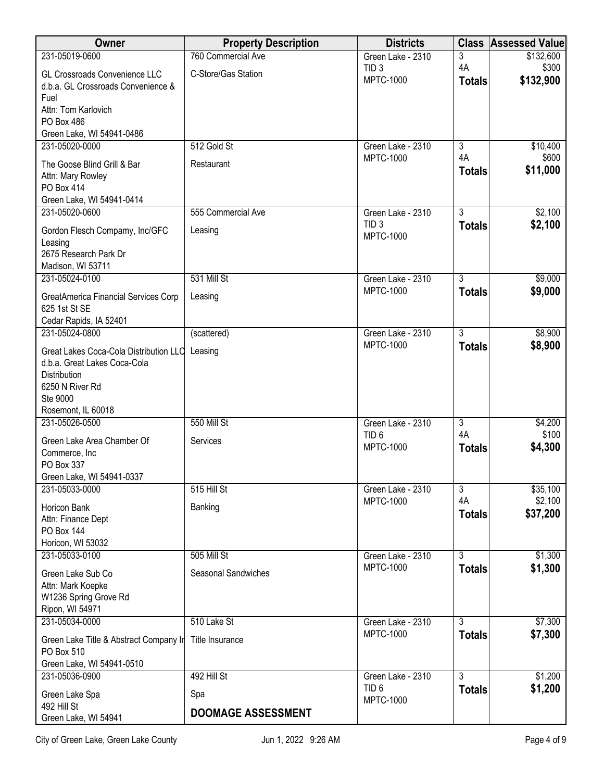| 231-05019-0600<br>760 Commercial Ave<br>\$132,600<br>3<br>Green Lake - 2310<br>4A<br>\$300<br>TID <sub>3</sub><br>C-Store/Gas Station<br>GL Crossroads Convenience LLC<br><b>MPTC-1000</b><br>\$132,900<br><b>Totals</b><br>d.b.a. GL Crossroads Convenience &<br>Fuel<br>Attn: Tom Karlovich<br>PO Box 486<br>Green Lake, WI 54941-0486<br>512 Gold St<br>231-05020-0000<br>$\overline{3}$<br>\$10,400<br>Green Lake - 2310<br>4A<br>\$600<br><b>MPTC-1000</b><br>The Goose Blind Grill & Bar<br>Restaurant<br>\$11,000<br><b>Totals</b><br>Attn: Mary Rowley<br>PO Box 414<br>Green Lake, WI 54941-0414<br>$\overline{3}$<br>\$2,100<br>231-05020-0600<br>555 Commercial Ave<br>Green Lake - 2310<br>TID <sub>3</sub><br>\$2,100<br><b>Totals</b><br>Gordon Flesch Compamy, Inc/GFC<br>Leasing<br><b>MPTC-1000</b><br>Leasing<br>2675 Research Park Dr<br>Madison, WI 53711<br>$\overline{3}$<br>231-05024-0100<br>531 Mill St<br>\$9,000<br>Green Lake - 2310<br><b>MPTC-1000</b><br>\$9,000<br><b>Totals</b><br>Leasing<br>GreatAmerica Financial Services Corp<br>625 1st St SE<br>Cedar Rapids, IA 52401<br>$\overline{3}$<br>\$8,900<br>231-05024-0800<br>(scattered)<br>Green Lake - 2310<br>\$8,900<br><b>MPTC-1000</b><br><b>Totals</b><br>Great Lakes Coca-Cola Distribution LLC Leasing<br>d.b.a. Great Lakes Coca-Cola<br>Distribution<br>6250 N River Rd<br>Ste 9000<br>Rosemont, IL 60018<br>231-05026-0500<br>550 Mill St<br>$\overline{3}$<br>\$4,200<br>Green Lake - 2310<br>4A<br>\$100<br>TID <sub>6</sub><br>Green Lake Area Chamber Of<br>Services<br>\$4,300<br><b>MPTC-1000</b><br><b>Totals</b><br>Commerce, Inc<br>PO Box 337<br>Green Lake, WI 54941-0337<br>\$35,100<br>515 Hill St<br>$\overline{3}$<br>231-05033-0000<br>Green Lake - 2310<br>4A<br>\$2,100<br><b>MPTC-1000</b><br>Horicon Bank<br>Banking<br>\$37,200<br><b>Totals</b><br>Attn: Finance Dept<br>PO Box 144<br>Horicon, WI 53032<br>$\overline{3}$<br>231-05033-0100<br>505 Mill St<br>\$1,300<br>Green Lake - 2310<br><b>MPTC-1000</b><br>\$1,300<br><b>Totals</b><br>Seasonal Sandwiches<br>Green Lake Sub Co<br>Attn: Mark Koepke<br>W1236 Spring Grove Rd<br>Ripon, WI 54971<br>231-05034-0000<br>510 Lake St<br>$\overline{3}$<br>\$7,300<br>Green Lake - 2310<br><b>MPTC-1000</b><br>\$7,300<br><b>Totals</b><br>Title Insurance<br>Green Lake Title & Abstract Company In<br>PO Box 510<br>Green Lake, WI 54941-0510<br>492 Hill St<br>$\overline{3}$<br>\$1,200<br>231-05036-0900<br>Green Lake - 2310<br>\$1,200<br>TID <sub>6</sub><br><b>Totals</b><br>Green Lake Spa<br>Spa<br><b>MPTC-1000</b><br>492 Hill St<br><b>DOOMAGE ASSESSMENT</b><br>Green Lake, WI 54941 | Owner | <b>Property Description</b> | <b>Districts</b> | <b>Class Assessed Value</b> |
|-------------------------------------------------------------------------------------------------------------------------------------------------------------------------------------------------------------------------------------------------------------------------------------------------------------------------------------------------------------------------------------------------------------------------------------------------------------------------------------------------------------------------------------------------------------------------------------------------------------------------------------------------------------------------------------------------------------------------------------------------------------------------------------------------------------------------------------------------------------------------------------------------------------------------------------------------------------------------------------------------------------------------------------------------------------------------------------------------------------------------------------------------------------------------------------------------------------------------------------------------------------------------------------------------------------------------------------------------------------------------------------------------------------------------------------------------------------------------------------------------------------------------------------------------------------------------------------------------------------------------------------------------------------------------------------------------------------------------------------------------------------------------------------------------------------------------------------------------------------------------------------------------------------------------------------------------------------------------------------------------------------------------------------------------------------------------------------------------------------------------------------------------------------------------------------------------------------------------------------------------------------------------------------------------------------------------------------------------------------------------------------------------------------------------------------------------------------------------------------------------------------------------------------------------------------------------------------------------------------------------------------------------------------------------------|-------|-----------------------------|------------------|-----------------------------|
|                                                                                                                                                                                                                                                                                                                                                                                                                                                                                                                                                                                                                                                                                                                                                                                                                                                                                                                                                                                                                                                                                                                                                                                                                                                                                                                                                                                                                                                                                                                                                                                                                                                                                                                                                                                                                                                                                                                                                                                                                                                                                                                                                                                                                                                                                                                                                                                                                                                                                                                                                                                                                                                                               |       |                             |                  |                             |
|                                                                                                                                                                                                                                                                                                                                                                                                                                                                                                                                                                                                                                                                                                                                                                                                                                                                                                                                                                                                                                                                                                                                                                                                                                                                                                                                                                                                                                                                                                                                                                                                                                                                                                                                                                                                                                                                                                                                                                                                                                                                                                                                                                                                                                                                                                                                                                                                                                                                                                                                                                                                                                                                               |       |                             |                  |                             |
|                                                                                                                                                                                                                                                                                                                                                                                                                                                                                                                                                                                                                                                                                                                                                                                                                                                                                                                                                                                                                                                                                                                                                                                                                                                                                                                                                                                                                                                                                                                                                                                                                                                                                                                                                                                                                                                                                                                                                                                                                                                                                                                                                                                                                                                                                                                                                                                                                                                                                                                                                                                                                                                                               |       |                             |                  |                             |
|                                                                                                                                                                                                                                                                                                                                                                                                                                                                                                                                                                                                                                                                                                                                                                                                                                                                                                                                                                                                                                                                                                                                                                                                                                                                                                                                                                                                                                                                                                                                                                                                                                                                                                                                                                                                                                                                                                                                                                                                                                                                                                                                                                                                                                                                                                                                                                                                                                                                                                                                                                                                                                                                               |       |                             |                  |                             |
|                                                                                                                                                                                                                                                                                                                                                                                                                                                                                                                                                                                                                                                                                                                                                                                                                                                                                                                                                                                                                                                                                                                                                                                                                                                                                                                                                                                                                                                                                                                                                                                                                                                                                                                                                                                                                                                                                                                                                                                                                                                                                                                                                                                                                                                                                                                                                                                                                                                                                                                                                                                                                                                                               |       |                             |                  |                             |
|                                                                                                                                                                                                                                                                                                                                                                                                                                                                                                                                                                                                                                                                                                                                                                                                                                                                                                                                                                                                                                                                                                                                                                                                                                                                                                                                                                                                                                                                                                                                                                                                                                                                                                                                                                                                                                                                                                                                                                                                                                                                                                                                                                                                                                                                                                                                                                                                                                                                                                                                                                                                                                                                               |       |                             |                  |                             |
|                                                                                                                                                                                                                                                                                                                                                                                                                                                                                                                                                                                                                                                                                                                                                                                                                                                                                                                                                                                                                                                                                                                                                                                                                                                                                                                                                                                                                                                                                                                                                                                                                                                                                                                                                                                                                                                                                                                                                                                                                                                                                                                                                                                                                                                                                                                                                                                                                                                                                                                                                                                                                                                                               |       |                             |                  |                             |
|                                                                                                                                                                                                                                                                                                                                                                                                                                                                                                                                                                                                                                                                                                                                                                                                                                                                                                                                                                                                                                                                                                                                                                                                                                                                                                                                                                                                                                                                                                                                                                                                                                                                                                                                                                                                                                                                                                                                                                                                                                                                                                                                                                                                                                                                                                                                                                                                                                                                                                                                                                                                                                                                               |       |                             |                  |                             |
|                                                                                                                                                                                                                                                                                                                                                                                                                                                                                                                                                                                                                                                                                                                                                                                                                                                                                                                                                                                                                                                                                                                                                                                                                                                                                                                                                                                                                                                                                                                                                                                                                                                                                                                                                                                                                                                                                                                                                                                                                                                                                                                                                                                                                                                                                                                                                                                                                                                                                                                                                                                                                                                                               |       |                             |                  |                             |
|                                                                                                                                                                                                                                                                                                                                                                                                                                                                                                                                                                                                                                                                                                                                                                                                                                                                                                                                                                                                                                                                                                                                                                                                                                                                                                                                                                                                                                                                                                                                                                                                                                                                                                                                                                                                                                                                                                                                                                                                                                                                                                                                                                                                                                                                                                                                                                                                                                                                                                                                                                                                                                                                               |       |                             |                  |                             |
|                                                                                                                                                                                                                                                                                                                                                                                                                                                                                                                                                                                                                                                                                                                                                                                                                                                                                                                                                                                                                                                                                                                                                                                                                                                                                                                                                                                                                                                                                                                                                                                                                                                                                                                                                                                                                                                                                                                                                                                                                                                                                                                                                                                                                                                                                                                                                                                                                                                                                                                                                                                                                                                                               |       |                             |                  |                             |
|                                                                                                                                                                                                                                                                                                                                                                                                                                                                                                                                                                                                                                                                                                                                                                                                                                                                                                                                                                                                                                                                                                                                                                                                                                                                                                                                                                                                                                                                                                                                                                                                                                                                                                                                                                                                                                                                                                                                                                                                                                                                                                                                                                                                                                                                                                                                                                                                                                                                                                                                                                                                                                                                               |       |                             |                  |                             |
|                                                                                                                                                                                                                                                                                                                                                                                                                                                                                                                                                                                                                                                                                                                                                                                                                                                                                                                                                                                                                                                                                                                                                                                                                                                                                                                                                                                                                                                                                                                                                                                                                                                                                                                                                                                                                                                                                                                                                                                                                                                                                                                                                                                                                                                                                                                                                                                                                                                                                                                                                                                                                                                                               |       |                             |                  |                             |
|                                                                                                                                                                                                                                                                                                                                                                                                                                                                                                                                                                                                                                                                                                                                                                                                                                                                                                                                                                                                                                                                                                                                                                                                                                                                                                                                                                                                                                                                                                                                                                                                                                                                                                                                                                                                                                                                                                                                                                                                                                                                                                                                                                                                                                                                                                                                                                                                                                                                                                                                                                                                                                                                               |       |                             |                  |                             |
|                                                                                                                                                                                                                                                                                                                                                                                                                                                                                                                                                                                                                                                                                                                                                                                                                                                                                                                                                                                                                                                                                                                                                                                                                                                                                                                                                                                                                                                                                                                                                                                                                                                                                                                                                                                                                                                                                                                                                                                                                                                                                                                                                                                                                                                                                                                                                                                                                                                                                                                                                                                                                                                                               |       |                             |                  |                             |
|                                                                                                                                                                                                                                                                                                                                                                                                                                                                                                                                                                                                                                                                                                                                                                                                                                                                                                                                                                                                                                                                                                                                                                                                                                                                                                                                                                                                                                                                                                                                                                                                                                                                                                                                                                                                                                                                                                                                                                                                                                                                                                                                                                                                                                                                                                                                                                                                                                                                                                                                                                                                                                                                               |       |                             |                  |                             |
|                                                                                                                                                                                                                                                                                                                                                                                                                                                                                                                                                                                                                                                                                                                                                                                                                                                                                                                                                                                                                                                                                                                                                                                                                                                                                                                                                                                                                                                                                                                                                                                                                                                                                                                                                                                                                                                                                                                                                                                                                                                                                                                                                                                                                                                                                                                                                                                                                                                                                                                                                                                                                                                                               |       |                             |                  |                             |
|                                                                                                                                                                                                                                                                                                                                                                                                                                                                                                                                                                                                                                                                                                                                                                                                                                                                                                                                                                                                                                                                                                                                                                                                                                                                                                                                                                                                                                                                                                                                                                                                                                                                                                                                                                                                                                                                                                                                                                                                                                                                                                                                                                                                                                                                                                                                                                                                                                                                                                                                                                                                                                                                               |       |                             |                  |                             |
|                                                                                                                                                                                                                                                                                                                                                                                                                                                                                                                                                                                                                                                                                                                                                                                                                                                                                                                                                                                                                                                                                                                                                                                                                                                                                                                                                                                                                                                                                                                                                                                                                                                                                                                                                                                                                                                                                                                                                                                                                                                                                                                                                                                                                                                                                                                                                                                                                                                                                                                                                                                                                                                                               |       |                             |                  |                             |
|                                                                                                                                                                                                                                                                                                                                                                                                                                                                                                                                                                                                                                                                                                                                                                                                                                                                                                                                                                                                                                                                                                                                                                                                                                                                                                                                                                                                                                                                                                                                                                                                                                                                                                                                                                                                                                                                                                                                                                                                                                                                                                                                                                                                                                                                                                                                                                                                                                                                                                                                                                                                                                                                               |       |                             |                  |                             |
|                                                                                                                                                                                                                                                                                                                                                                                                                                                                                                                                                                                                                                                                                                                                                                                                                                                                                                                                                                                                                                                                                                                                                                                                                                                                                                                                                                                                                                                                                                                                                                                                                                                                                                                                                                                                                                                                                                                                                                                                                                                                                                                                                                                                                                                                                                                                                                                                                                                                                                                                                                                                                                                                               |       |                             |                  |                             |
|                                                                                                                                                                                                                                                                                                                                                                                                                                                                                                                                                                                                                                                                                                                                                                                                                                                                                                                                                                                                                                                                                                                                                                                                                                                                                                                                                                                                                                                                                                                                                                                                                                                                                                                                                                                                                                                                                                                                                                                                                                                                                                                                                                                                                                                                                                                                                                                                                                                                                                                                                                                                                                                                               |       |                             |                  |                             |
|                                                                                                                                                                                                                                                                                                                                                                                                                                                                                                                                                                                                                                                                                                                                                                                                                                                                                                                                                                                                                                                                                                                                                                                                                                                                                                                                                                                                                                                                                                                                                                                                                                                                                                                                                                                                                                                                                                                                                                                                                                                                                                                                                                                                                                                                                                                                                                                                                                                                                                                                                                                                                                                                               |       |                             |                  |                             |
|                                                                                                                                                                                                                                                                                                                                                                                                                                                                                                                                                                                                                                                                                                                                                                                                                                                                                                                                                                                                                                                                                                                                                                                                                                                                                                                                                                                                                                                                                                                                                                                                                                                                                                                                                                                                                                                                                                                                                                                                                                                                                                                                                                                                                                                                                                                                                                                                                                                                                                                                                                                                                                                                               |       |                             |                  |                             |
|                                                                                                                                                                                                                                                                                                                                                                                                                                                                                                                                                                                                                                                                                                                                                                                                                                                                                                                                                                                                                                                                                                                                                                                                                                                                                                                                                                                                                                                                                                                                                                                                                                                                                                                                                                                                                                                                                                                                                                                                                                                                                                                                                                                                                                                                                                                                                                                                                                                                                                                                                                                                                                                                               |       |                             |                  |                             |
|                                                                                                                                                                                                                                                                                                                                                                                                                                                                                                                                                                                                                                                                                                                                                                                                                                                                                                                                                                                                                                                                                                                                                                                                                                                                                                                                                                                                                                                                                                                                                                                                                                                                                                                                                                                                                                                                                                                                                                                                                                                                                                                                                                                                                                                                                                                                                                                                                                                                                                                                                                                                                                                                               |       |                             |                  |                             |
|                                                                                                                                                                                                                                                                                                                                                                                                                                                                                                                                                                                                                                                                                                                                                                                                                                                                                                                                                                                                                                                                                                                                                                                                                                                                                                                                                                                                                                                                                                                                                                                                                                                                                                                                                                                                                                                                                                                                                                                                                                                                                                                                                                                                                                                                                                                                                                                                                                                                                                                                                                                                                                                                               |       |                             |                  |                             |
|                                                                                                                                                                                                                                                                                                                                                                                                                                                                                                                                                                                                                                                                                                                                                                                                                                                                                                                                                                                                                                                                                                                                                                                                                                                                                                                                                                                                                                                                                                                                                                                                                                                                                                                                                                                                                                                                                                                                                                                                                                                                                                                                                                                                                                                                                                                                                                                                                                                                                                                                                                                                                                                                               |       |                             |                  |                             |
|                                                                                                                                                                                                                                                                                                                                                                                                                                                                                                                                                                                                                                                                                                                                                                                                                                                                                                                                                                                                                                                                                                                                                                                                                                                                                                                                                                                                                                                                                                                                                                                                                                                                                                                                                                                                                                                                                                                                                                                                                                                                                                                                                                                                                                                                                                                                                                                                                                                                                                                                                                                                                                                                               |       |                             |                  |                             |
|                                                                                                                                                                                                                                                                                                                                                                                                                                                                                                                                                                                                                                                                                                                                                                                                                                                                                                                                                                                                                                                                                                                                                                                                                                                                                                                                                                                                                                                                                                                                                                                                                                                                                                                                                                                                                                                                                                                                                                                                                                                                                                                                                                                                                                                                                                                                                                                                                                                                                                                                                                                                                                                                               |       |                             |                  |                             |
|                                                                                                                                                                                                                                                                                                                                                                                                                                                                                                                                                                                                                                                                                                                                                                                                                                                                                                                                                                                                                                                                                                                                                                                                                                                                                                                                                                                                                                                                                                                                                                                                                                                                                                                                                                                                                                                                                                                                                                                                                                                                                                                                                                                                                                                                                                                                                                                                                                                                                                                                                                                                                                                                               |       |                             |                  |                             |
|                                                                                                                                                                                                                                                                                                                                                                                                                                                                                                                                                                                                                                                                                                                                                                                                                                                                                                                                                                                                                                                                                                                                                                                                                                                                                                                                                                                                                                                                                                                                                                                                                                                                                                                                                                                                                                                                                                                                                                                                                                                                                                                                                                                                                                                                                                                                                                                                                                                                                                                                                                                                                                                                               |       |                             |                  |                             |
|                                                                                                                                                                                                                                                                                                                                                                                                                                                                                                                                                                                                                                                                                                                                                                                                                                                                                                                                                                                                                                                                                                                                                                                                                                                                                                                                                                                                                                                                                                                                                                                                                                                                                                                                                                                                                                                                                                                                                                                                                                                                                                                                                                                                                                                                                                                                                                                                                                                                                                                                                                                                                                                                               |       |                             |                  |                             |
|                                                                                                                                                                                                                                                                                                                                                                                                                                                                                                                                                                                                                                                                                                                                                                                                                                                                                                                                                                                                                                                                                                                                                                                                                                                                                                                                                                                                                                                                                                                                                                                                                                                                                                                                                                                                                                                                                                                                                                                                                                                                                                                                                                                                                                                                                                                                                                                                                                                                                                                                                                                                                                                                               |       |                             |                  |                             |
|                                                                                                                                                                                                                                                                                                                                                                                                                                                                                                                                                                                                                                                                                                                                                                                                                                                                                                                                                                                                                                                                                                                                                                                                                                                                                                                                                                                                                                                                                                                                                                                                                                                                                                                                                                                                                                                                                                                                                                                                                                                                                                                                                                                                                                                                                                                                                                                                                                                                                                                                                                                                                                                                               |       |                             |                  |                             |
|                                                                                                                                                                                                                                                                                                                                                                                                                                                                                                                                                                                                                                                                                                                                                                                                                                                                                                                                                                                                                                                                                                                                                                                                                                                                                                                                                                                                                                                                                                                                                                                                                                                                                                                                                                                                                                                                                                                                                                                                                                                                                                                                                                                                                                                                                                                                                                                                                                                                                                                                                                                                                                                                               |       |                             |                  |                             |
|                                                                                                                                                                                                                                                                                                                                                                                                                                                                                                                                                                                                                                                                                                                                                                                                                                                                                                                                                                                                                                                                                                                                                                                                                                                                                                                                                                                                                                                                                                                                                                                                                                                                                                                                                                                                                                                                                                                                                                                                                                                                                                                                                                                                                                                                                                                                                                                                                                                                                                                                                                                                                                                                               |       |                             |                  |                             |
|                                                                                                                                                                                                                                                                                                                                                                                                                                                                                                                                                                                                                                                                                                                                                                                                                                                                                                                                                                                                                                                                                                                                                                                                                                                                                                                                                                                                                                                                                                                                                                                                                                                                                                                                                                                                                                                                                                                                                                                                                                                                                                                                                                                                                                                                                                                                                                                                                                                                                                                                                                                                                                                                               |       |                             |                  |                             |
|                                                                                                                                                                                                                                                                                                                                                                                                                                                                                                                                                                                                                                                                                                                                                                                                                                                                                                                                                                                                                                                                                                                                                                                                                                                                                                                                                                                                                                                                                                                                                                                                                                                                                                                                                                                                                                                                                                                                                                                                                                                                                                                                                                                                                                                                                                                                                                                                                                                                                                                                                                                                                                                                               |       |                             |                  |                             |
|                                                                                                                                                                                                                                                                                                                                                                                                                                                                                                                                                                                                                                                                                                                                                                                                                                                                                                                                                                                                                                                                                                                                                                                                                                                                                                                                                                                                                                                                                                                                                                                                                                                                                                                                                                                                                                                                                                                                                                                                                                                                                                                                                                                                                                                                                                                                                                                                                                                                                                                                                                                                                                                                               |       |                             |                  |                             |
|                                                                                                                                                                                                                                                                                                                                                                                                                                                                                                                                                                                                                                                                                                                                                                                                                                                                                                                                                                                                                                                                                                                                                                                                                                                                                                                                                                                                                                                                                                                                                                                                                                                                                                                                                                                                                                                                                                                                                                                                                                                                                                                                                                                                                                                                                                                                                                                                                                                                                                                                                                                                                                                                               |       |                             |                  |                             |
|                                                                                                                                                                                                                                                                                                                                                                                                                                                                                                                                                                                                                                                                                                                                                                                                                                                                                                                                                                                                                                                                                                                                                                                                                                                                                                                                                                                                                                                                                                                                                                                                                                                                                                                                                                                                                                                                                                                                                                                                                                                                                                                                                                                                                                                                                                                                                                                                                                                                                                                                                                                                                                                                               |       |                             |                  |                             |
|                                                                                                                                                                                                                                                                                                                                                                                                                                                                                                                                                                                                                                                                                                                                                                                                                                                                                                                                                                                                                                                                                                                                                                                                                                                                                                                                                                                                                                                                                                                                                                                                                                                                                                                                                                                                                                                                                                                                                                                                                                                                                                                                                                                                                                                                                                                                                                                                                                                                                                                                                                                                                                                                               |       |                             |                  |                             |
|                                                                                                                                                                                                                                                                                                                                                                                                                                                                                                                                                                                                                                                                                                                                                                                                                                                                                                                                                                                                                                                                                                                                                                                                                                                                                                                                                                                                                                                                                                                                                                                                                                                                                                                                                                                                                                                                                                                                                                                                                                                                                                                                                                                                                                                                                                                                                                                                                                                                                                                                                                                                                                                                               |       |                             |                  |                             |
|                                                                                                                                                                                                                                                                                                                                                                                                                                                                                                                                                                                                                                                                                                                                                                                                                                                                                                                                                                                                                                                                                                                                                                                                                                                                                                                                                                                                                                                                                                                                                                                                                                                                                                                                                                                                                                                                                                                                                                                                                                                                                                                                                                                                                                                                                                                                                                                                                                                                                                                                                                                                                                                                               |       |                             |                  |                             |
|                                                                                                                                                                                                                                                                                                                                                                                                                                                                                                                                                                                                                                                                                                                                                                                                                                                                                                                                                                                                                                                                                                                                                                                                                                                                                                                                                                                                                                                                                                                                                                                                                                                                                                                                                                                                                                                                                                                                                                                                                                                                                                                                                                                                                                                                                                                                                                                                                                                                                                                                                                                                                                                                               |       |                             |                  |                             |
|                                                                                                                                                                                                                                                                                                                                                                                                                                                                                                                                                                                                                                                                                                                                                                                                                                                                                                                                                                                                                                                                                                                                                                                                                                                                                                                                                                                                                                                                                                                                                                                                                                                                                                                                                                                                                                                                                                                                                                                                                                                                                                                                                                                                                                                                                                                                                                                                                                                                                                                                                                                                                                                                               |       |                             |                  |                             |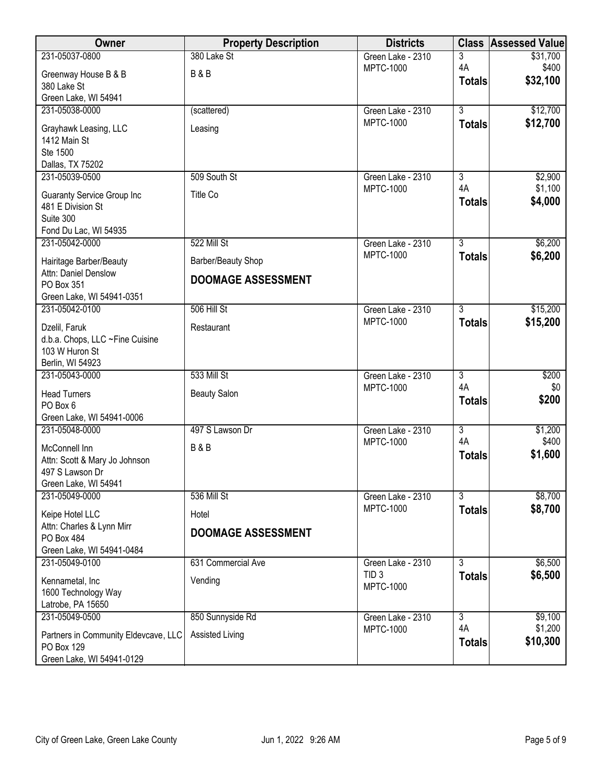| Owner                                              | <b>Property Description</b> | <b>Districts</b>                      |                     | <b>Class Assessed Value</b> |
|----------------------------------------------------|-----------------------------|---------------------------------------|---------------------|-----------------------------|
| 231-05037-0800                                     | 380 Lake St                 | Green Lake - 2310                     | 3                   | \$31,700                    |
| Greenway House B & B                               | <b>B&amp;B</b>              | <b>MPTC-1000</b>                      | 4A<br><b>Totals</b> | \$400<br>\$32,100           |
| 380 Lake St                                        |                             |                                       |                     |                             |
| Green Lake, WI 54941<br>231-05038-0000             | (scattered)                 | Green Lake - 2310                     | $\overline{3}$      | \$12,700                    |
|                                                    |                             | <b>MPTC-1000</b>                      | <b>Totals</b>       | \$12,700                    |
| Grayhawk Leasing, LLC<br>1412 Main St              | Leasing                     |                                       |                     |                             |
| Ste 1500                                           |                             |                                       |                     |                             |
| Dallas, TX 75202                                   |                             |                                       |                     |                             |
| 231-05039-0500                                     | 509 South St                | Green Lake - 2310                     | $\overline{3}$      | \$2,900                     |
| <b>Guaranty Service Group Inc</b>                  | Title Co                    | <b>MPTC-1000</b>                      | 4A<br><b>Totals</b> | \$1,100<br>\$4,000          |
| 481 E Division St<br>Suite 300                     |                             |                                       |                     |                             |
| Fond Du Lac, WI 54935                              |                             |                                       |                     |                             |
| 231-05042-0000                                     | 522 Mill St                 | Green Lake - 2310                     | $\overline{3}$      | \$6,200                     |
| Hairitage Barber/Beauty                            | Barber/Beauty Shop          | <b>MPTC-1000</b>                      | <b>Totals</b>       | \$6,200                     |
| Attn: Daniel Denslow                               | <b>DOOMAGE ASSESSMENT</b>   |                                       |                     |                             |
| PO Box 351                                         |                             |                                       |                     |                             |
| Green Lake, WI 54941-0351<br>231-05042-0100        | 506 Hill St                 | Green Lake - 2310                     | $\overline{3}$      | \$15,200                    |
|                                                    |                             | <b>MPTC-1000</b>                      | <b>Totals</b>       | \$15,200                    |
| Dzelil, Faruk<br>d.b.a. Chops, LLC ~Fine Cuisine   | Restaurant                  |                                       |                     |                             |
| 103 W Huron St                                     |                             |                                       |                     |                             |
| Berlin, WI 54923                                   |                             |                                       |                     |                             |
| 231-05043-0000                                     | 533 Mill St                 | Green Lake - 2310<br><b>MPTC-1000</b> | 3<br>4A             | \$200<br>\$0                |
| <b>Head Turners</b>                                | <b>Beauty Salon</b>         |                                       | <b>Totals</b>       | \$200                       |
| PO Box 6<br>Green Lake, WI 54941-0006              |                             |                                       |                     |                             |
| 231-05048-0000                                     | 497 S Lawson Dr             | Green Lake - 2310                     | $\overline{3}$      | \$1,200                     |
| McConnell Inn                                      | <b>B&amp;B</b>              | <b>MPTC-1000</b>                      | 4A                  | \$400                       |
| Attn: Scott & Mary Jo Johnson                      |                             |                                       | <b>Totals</b>       | \$1,600                     |
| 497 S Lawson Dr                                    |                             |                                       |                     |                             |
| Green Lake, WI 54941<br>231-05049-0000             | 536 Mill St                 |                                       | 3                   | \$8,700                     |
|                                                    |                             | Green Lake - 2310<br><b>MPTC-1000</b> | <b>Totals</b>       | \$8,700                     |
| Keipe Hotel LLC<br>Attn: Charles & Lynn Mirr       | Hotel                       |                                       |                     |                             |
| PO Box 484                                         | <b>DOOMAGE ASSESSMENT</b>   |                                       |                     |                             |
| Green Lake, WI 54941-0484                          |                             |                                       |                     |                             |
| 231-05049-0100                                     | 631 Commercial Ave          | Green Lake - 2310                     | 3                   | \$6,500                     |
| Kennametal, Inc                                    | Vending                     | TID <sub>3</sub><br><b>MPTC-1000</b>  | <b>Totals</b>       | \$6,500                     |
| 1600 Technology Way                                |                             |                                       |                     |                             |
| Latrobe, PA 15650<br>231-05049-0500                | 850 Sunnyside Rd            | Green Lake - 2310                     | $\overline{3}$      | \$9,100                     |
|                                                    | <b>Assisted Living</b>      | <b>MPTC-1000</b>                      | 4A                  | \$1,200                     |
| Partners in Community Eldevcave, LLC<br>PO Box 129 |                             |                                       | <b>Totals</b>       | \$10,300                    |
| Green Lake, WI 54941-0129                          |                             |                                       |                     |                             |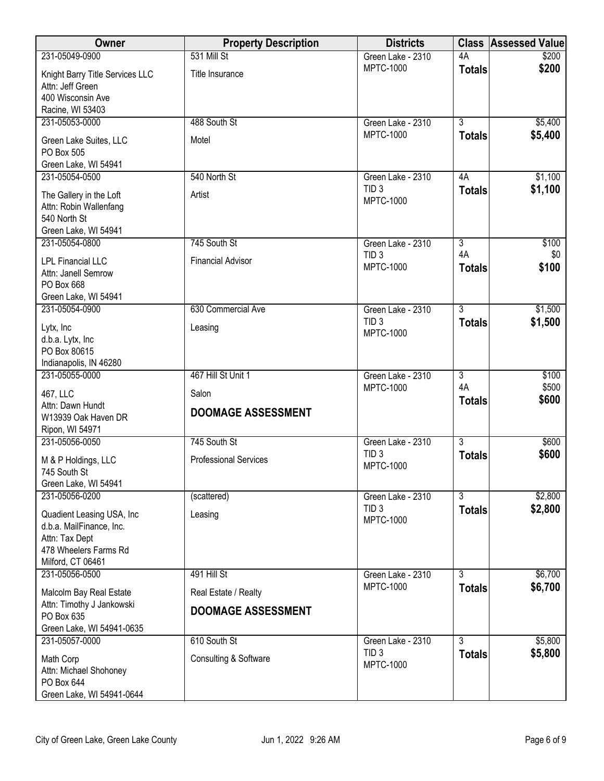| Owner                                                                                                                 | <b>Property Description</b>  | <b>Districts</b>                     |                     | <b>Class Assessed Value</b> |
|-----------------------------------------------------------------------------------------------------------------------|------------------------------|--------------------------------------|---------------------|-----------------------------|
| 231-05049-0900                                                                                                        | 531 Mill St                  | Green Lake - 2310                    | 4A                  | \$200                       |
| Knight Barry Title Services LLC<br>Attn: Jeff Green<br>400 Wisconsin Ave                                              | Title Insurance              | <b>MPTC-1000</b>                     | <b>Totals</b>       | \$200                       |
| Racine, WI 53403                                                                                                      |                              |                                      |                     |                             |
| 231-05053-0000                                                                                                        | 488 South St                 | Green Lake - 2310                    | $\overline{3}$      | \$5,400                     |
| Green Lake Suites, LLC<br>PO Box 505<br>Green Lake, WI 54941                                                          | Motel                        | <b>MPTC-1000</b>                     | <b>Totals</b>       | \$5,400                     |
| 231-05054-0500                                                                                                        | 540 North St                 | Green Lake - 2310                    | 4A                  | \$1,100                     |
| The Gallery in the Loft<br>Attn: Robin Wallenfang<br>540 North St<br>Green Lake, WI 54941                             | Artist                       | TID <sub>3</sub><br><b>MPTC-1000</b> | <b>Totals</b>       | \$1,100                     |
| 231-05054-0800                                                                                                        | 745 South St                 | Green Lake - 2310                    | $\overline{3}$      | \$100                       |
| <b>LPL Financial LLC</b><br>Attn: Janell Semrow<br>PO Box 668<br>Green Lake, WI 54941                                 | <b>Financial Advisor</b>     | TID <sub>3</sub><br><b>MPTC-1000</b> | 4A<br><b>Totals</b> | \$0<br>\$100                |
| 231-05054-0900                                                                                                        | 630 Commercial Ave           | Green Lake - 2310                    | $\overline{3}$      | \$1,500                     |
| Lytx, Inc<br>d.b.a. Lytx, Inc                                                                                         | Leasing                      | TID <sub>3</sub><br><b>MPTC-1000</b> | <b>Totals</b>       | \$1,500                     |
| PO Box 80615<br>Indianapolis, IN 46280                                                                                |                              |                                      |                     |                             |
| 231-05055-0000                                                                                                        | 467 Hill St Unit 1           | Green Lake - 2310                    | 3                   | \$100                       |
| 467, LLC                                                                                                              | Salon                        | <b>MPTC-1000</b>                     | 4A                  | \$500                       |
| Attn: Dawn Hundt<br>W13939 Oak Haven DR<br>Ripon, WI 54971                                                            | <b>DOOMAGE ASSESSMENT</b>    |                                      | <b>Totals</b>       | \$600                       |
| 231-05056-0050                                                                                                        | 745 South St                 | Green Lake - 2310                    | $\overline{3}$      | \$600                       |
| M & P Holdings, LLC<br>745 South St<br>Green Lake, WI 54941                                                           | <b>Professional Services</b> | TID <sub>3</sub><br><b>MPTC-1000</b> | <b>Totals</b>       | \$600                       |
| 231-05056-0200                                                                                                        | (scattered)                  | Green Lake - 2310                    | $\overline{3}$      | \$2,800                     |
| Quadient Leasing USA, Inc<br>d.b.a. MailFinance, Inc.<br>Attn: Tax Dept<br>478 Wheelers Farms Rd<br>Milford, CT 06461 | Leasing                      | TID <sub>3</sub><br><b>MPTC-1000</b> | <b>Totals</b>       | \$2,800                     |
| 231-05056-0500                                                                                                        | 491 Hill St                  | Green Lake - 2310                    | 3                   | \$6,700                     |
| Malcolm Bay Real Estate                                                                                               | Real Estate / Realty         | <b>MPTC-1000</b>                     | <b>Totals</b>       | \$6,700                     |
| Attn: Timothy J Jankowski<br>PO Box 635                                                                               | <b>DOOMAGE ASSESSMENT</b>    |                                      |                     |                             |
| Green Lake, WI 54941-0635                                                                                             |                              |                                      |                     |                             |
| 231-05057-0000                                                                                                        | 610 South St                 | Green Lake - 2310                    | $\overline{3}$      | \$5,800                     |
| Math Corp<br>Attn: Michael Shohoney<br>PO Box 644<br>Green Lake, WI 54941-0644                                        | Consulting & Software        | TID <sub>3</sub><br><b>MPTC-1000</b> | <b>Totals</b>       | \$5,800                     |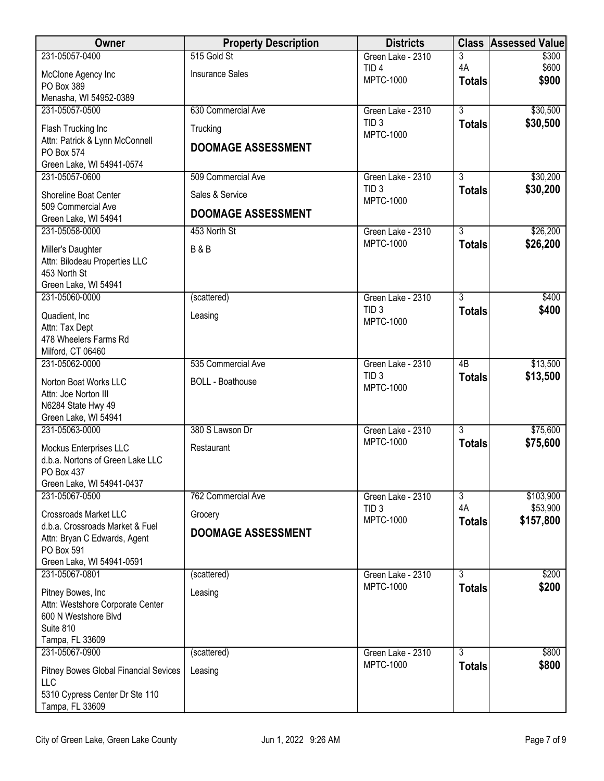| <b>Owner</b>                                           | <b>Property Description</b> | <b>Districts</b>                      | <b>Class</b>                    | <b>Assessed Value</b> |
|--------------------------------------------------------|-----------------------------|---------------------------------------|---------------------------------|-----------------------|
| 231-05057-0400                                         | 515 Gold St                 | Green Lake - 2310                     | 3                               | \$300                 |
| McClone Agency Inc                                     | <b>Insurance Sales</b>      | TID <sub>4</sub><br><b>MPTC-1000</b>  | 4A<br><b>Totals</b>             | \$600<br>\$900        |
| PO Box 389                                             |                             |                                       |                                 |                       |
| Menasha, WI 54952-0389<br>231-05057-0500               | 630 Commercial Ave          | Green Lake - 2310                     | $\overline{3}$                  | \$30,500              |
|                                                        |                             | TID <sub>3</sub>                      | <b>Totals</b>                   | \$30,500              |
| Flash Trucking Inc<br>Attn: Patrick & Lynn McConnell   | Trucking                    | <b>MPTC-1000</b>                      |                                 |                       |
| PO Box 574                                             | <b>DOOMAGE ASSESSMENT</b>   |                                       |                                 |                       |
| Green Lake, WI 54941-0574                              |                             |                                       |                                 |                       |
| 231-05057-0600                                         | 509 Commercial Ave          | Green Lake - 2310                     | $\overline{3}$                  | \$30,200              |
| Shoreline Boat Center                                  | Sales & Service             | TID <sub>3</sub><br><b>MPTC-1000</b>  | <b>Totals</b>                   | \$30,200              |
| 509 Commercial Ave                                     | <b>DOOMAGE ASSESSMENT</b>   |                                       |                                 |                       |
| Green Lake, WI 54941                                   |                             |                                       |                                 |                       |
| 231-05058-0000                                         | 453 North St                | Green Lake - 2310<br><b>MPTC-1000</b> | $\overline{3}$<br><b>Totals</b> | \$26,200<br>\$26,200  |
| Miller's Daughter                                      | <b>B&amp;B</b>              |                                       |                                 |                       |
| Attn: Bilodeau Properties LLC<br>453 North St          |                             |                                       |                                 |                       |
| Green Lake, WI 54941                                   |                             |                                       |                                 |                       |
| 231-05060-0000                                         | (scattered)                 | Green Lake - 2310                     | $\overline{3}$                  | \$400                 |
| Quadient, Inc.                                         | Leasing                     | TID <sub>3</sub>                      | <b>Totals</b>                   | \$400                 |
| Attn: Tax Dept                                         |                             | <b>MPTC-1000</b>                      |                                 |                       |
| 478 Wheelers Farms Rd                                  |                             |                                       |                                 |                       |
| Milford, CT 06460<br>231-05062-0000                    | 535 Commercial Ave          | Green Lake - 2310                     | $\overline{AB}$                 | \$13,500              |
|                                                        |                             | TID <sub>3</sub>                      | <b>Totals</b>                   | \$13,500              |
| Norton Boat Works LLC<br>Attn: Joe Norton III          | <b>BOLL</b> - Boathouse     | <b>MPTC-1000</b>                      |                                 |                       |
| N6284 State Hwy 49                                     |                             |                                       |                                 |                       |
| Green Lake, WI 54941                                   |                             |                                       |                                 |                       |
| 231-05063-0000                                         | 380 S Lawson Dr             | Green Lake - 2310                     | $\overline{3}$                  | \$75,600              |
| Mockus Enterprises LLC                                 | Restaurant                  | <b>MPTC-1000</b>                      | <b>Totals</b>                   | \$75,600              |
| d.b.a. Nortons of Green Lake LLC                       |                             |                                       |                                 |                       |
| PO Box 437<br>Green Lake, WI 54941-0437                |                             |                                       |                                 |                       |
| 231-05067-0500                                         | 762 Commercial Ave          | Green Lake - 2310                     | $\overline{3}$                  | \$103,900             |
| <b>Crossroads Market LLC</b>                           | Grocery                     | TID <sub>3</sub>                      | 4A                              | \$53,900              |
| d.b.a. Crossroads Market & Fuel                        |                             | <b>MPTC-1000</b>                      | <b>Totals</b>                   | \$157,800             |
| Attn: Bryan C Edwards, Agent                           | <b>DOOMAGE ASSESSMENT</b>   |                                       |                                 |                       |
| PO Box 591                                             |                             |                                       |                                 |                       |
| Green Lake, WI 54941-0591<br>231-05067-0801            | (scattered)                 | Green Lake - 2310                     | $\overline{3}$                  | \$200                 |
|                                                        |                             | <b>MPTC-1000</b>                      | <b>Totals</b>                   | \$200                 |
| Pitney Bowes, Inc.<br>Attn: Westshore Corporate Center | Leasing                     |                                       |                                 |                       |
| 600 N Westshore Blvd                                   |                             |                                       |                                 |                       |
| Suite 810                                              |                             |                                       |                                 |                       |
| Tampa, FL 33609                                        |                             |                                       |                                 |                       |
| 231-05067-0900                                         | (scattered)                 | Green Lake - 2310<br><b>MPTC-1000</b> | $\overline{3}$                  | \$800<br>\$800        |
| Pitney Bowes Global Financial Sevices                  | Leasing                     |                                       | <b>Totals</b>                   |                       |
| LLC<br>5310 Cypress Center Dr Ste 110                  |                             |                                       |                                 |                       |
| Tampa, FL 33609                                        |                             |                                       |                                 |                       |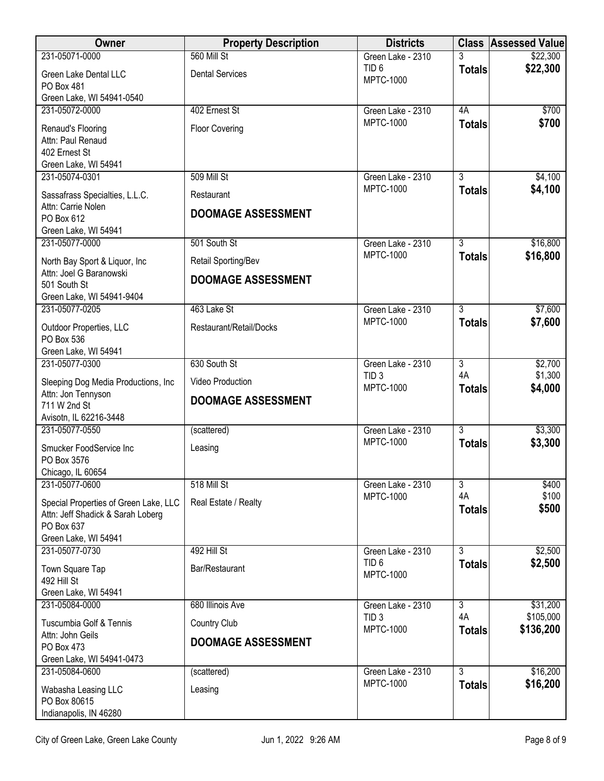| Owner                                                                                                                              | <b>Property Description</b>                   | <b>Districts</b>                      |                          | <b>Class Assessed Value</b> |
|------------------------------------------------------------------------------------------------------------------------------------|-----------------------------------------------|---------------------------------------|--------------------------|-----------------------------|
| 231-05071-0000                                                                                                                     | 560 Mill St                                   | Green Lake - 2310                     |                          | \$22,300                    |
| Green Lake Dental LLC<br>PO Box 481<br>Green Lake, WI 54941-0540                                                                   | <b>Dental Services</b>                        | TID <sub>6</sub><br><b>MPTC-1000</b>  | <b>Totals</b>            | \$22,300                    |
| 231-05072-0000                                                                                                                     | 402 Ernest St                                 | Green Lake - 2310                     | 4A                       | \$700                       |
| Renaud's Flooring<br>Attn: Paul Renaud<br>402 Ernest St<br>Green Lake, WI 54941                                                    | <b>Floor Covering</b>                         | <b>MPTC-1000</b>                      | <b>Totals</b>            | \$700                       |
| 231-05074-0301                                                                                                                     | 509 Mill St                                   | Green Lake - 2310                     | $\overline{3}$           | \$4,100                     |
| Sassafrass Specialties, L.L.C.<br>Attn: Carrie Nolen<br>PO Box 612<br>Green Lake, WI 54941                                         | Restaurant<br><b>DOOMAGE ASSESSMENT</b>       | <b>MPTC-1000</b>                      | <b>Totals</b>            | \$4,100                     |
| 231-05077-0000                                                                                                                     | 501 South St                                  | Green Lake - 2310                     | $\overline{3}$           | \$16,800                    |
| North Bay Sport & Liquor, Inc                                                                                                      | Retail Sporting/Bev                           | <b>MPTC-1000</b>                      | <b>Totals</b>            | \$16,800                    |
| Attn: Joel G Baranowski<br>501 South St<br>Green Lake, WI 54941-9404                                                               | <b>DOOMAGE ASSESSMENT</b>                     |                                       |                          |                             |
| 231-05077-0205                                                                                                                     | 463 Lake St                                   | Green Lake - 2310                     | $\overline{3}$           | \$7,600                     |
| Outdoor Properties, LLC<br>PO Box 536<br>Green Lake, WI 54941                                                                      | Restaurant/Retail/Docks                       | <b>MPTC-1000</b>                      | <b>Totals</b>            | \$7,600                     |
| 231-05077-0300                                                                                                                     | 630 South St                                  | Green Lake - 2310                     | $\overline{3}$           | \$2,700                     |
| Sleeping Dog Media Productions, Inc<br>Attn: Jon Tennyson                                                                          | Video Production<br><b>DOOMAGE ASSESSMENT</b> | TID <sub>3</sub><br><b>MPTC-1000</b>  | 4A<br><b>Totals</b>      | \$1,300<br>\$4,000          |
| 711 W 2nd St<br>Avisotn, IL 62216-3448                                                                                             |                                               |                                       |                          |                             |
| 231-05077-0550                                                                                                                     | (scattered)                                   | Green Lake - 2310                     | $\overline{3}$           | \$3,300                     |
| Smucker FoodService Inc<br>PO Box 3576                                                                                             | Leasing                                       | <b>MPTC-1000</b>                      | <b>Totals</b>            | \$3,300                     |
| Chicago, IL 60654                                                                                                                  |                                               |                                       |                          |                             |
| 231-05077-0600<br>Special Properties of Green Lake, LLC<br>Attn: Jeff Shadick & Sarah Loberg<br>PO Box 637<br>Green Lake, WI 54941 | 518 Mill St<br>Real Estate / Realty           | Green Lake - 2310<br><b>MPTC-1000</b> | 3<br>4A<br><b>Totals</b> | \$400<br>\$100<br>\$500     |
| 231-05077-0730                                                                                                                     | 492 Hill St                                   | Green Lake - 2310                     | $\overline{3}$           | \$2,500                     |
| Town Square Tap<br>492 Hill St<br>Green Lake, WI 54941                                                                             | Bar/Restaurant                                | TID <sub>6</sub><br><b>MPTC-1000</b>  | <b>Totals</b>            | \$2,500                     |
| 231-05084-0000                                                                                                                     | 680 Illinois Ave                              | Green Lake - 2310                     | $\overline{3}$           | \$31,200                    |
| Tuscumbia Golf & Tennis<br>Attn: John Geils                                                                                        | Country Club<br><b>DOOMAGE ASSESSMENT</b>     | TID <sub>3</sub><br><b>MPTC-1000</b>  | 4A<br><b>Totals</b>      | \$105,000<br>\$136,200      |
| PO Box 473<br>Green Lake, WI 54941-0473                                                                                            |                                               |                                       |                          |                             |
| 231-05084-0600                                                                                                                     | (scattered)                                   | Green Lake - 2310                     | $\overline{3}$           | \$16,200                    |
| Wabasha Leasing LLC<br>PO Box 80615<br>Indianapolis, IN 46280                                                                      | Leasing                                       | <b>MPTC-1000</b>                      | <b>Totals</b>            | \$16,200                    |